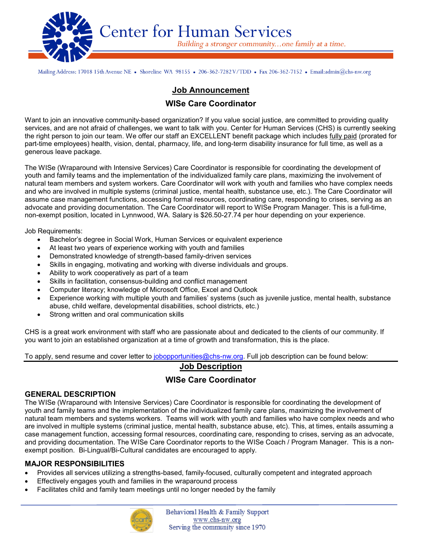

Mailing Address: 17018 15th Avenue NE • Shoreline WA 98155 • 206-362-7282V/TDD • Fax 206-362-7152 • Email:admin@chs-nw.org

# **Job Announcement**

## **WISe Care Coordinator**

Want to join an innovative community-based organization? If you value social justice, are committed to providing quality services, and are not afraid of challenges, we want to talk with you. Center for Human Services (CHS) is currently seeking the right person to join our team. We offer our staff an EXCELLENT benefit package which includes fully paid (prorated for part-time employees) health, vision, dental, pharmacy, life, and long-term disability insurance for full time, as well as a generous leave package.

The WISe (Wraparound with Intensive Services) Care Coordinator is responsible for coordinating the development of youth and family teams and the implementation of the individualized family care plans, maximizing the involvement of natural team members and system workers. Care Coordinator will work with youth and families who have complex needs and who are involved in multiple systems (criminal justice, mental health, substance use, etc.). The Care Coordinator will assume case management functions, accessing formal resources, coordinating care, responding to crises, serving as an advocate and providing documentation. The Care Coordinator will report to WISe Program Manager. This is a full-time, non-exempt position, located in Lynnwood, WA. Salary is \$26.50-27.74 per hour depending on your experience.

Job Requirements:

- Bachelor's degree in Social Work, Human Services or equivalent experience
- At least two years of experience working with youth and families
- Demonstrated knowledge of strength-based family-driven services
- Skills in engaging, motivating and working with diverse individuals and groups.
- Ability to work cooperatively as part of a team
- Skills in facilitation, consensus-building and conflict management
- Computer literacy; knowledge of Microsoft Office, Excel and Outlook
- Experience working with multiple youth and families' systems (such as juvenile justice, mental health, substance abuse, child welfare, developmental disabilities, school districts, etc.)
- Strong written and oral communication skills

CHS is a great work environment with staff who are passionate about and dedicated to the clients of our community. If you want to join an established organization at a time of growth and transformation, this is the place.

To apply, send resume and cover letter to [jobopportunities@chs-nw.org.](mailto:jobopportunities@chs-nw.org) Full job description can be found below:

## **Job Description**

## **WISe Care Coordinator**

### **GENERAL DESCRIPTION**

The WISe (Wraparound with Intensive Services) Care Coordinator is responsible for coordinating the development of youth and family teams and the implementation of the individualized family care plans, maximizing the involvement of natural team members and systems workers. Teams will work with youth and families who have complex needs and who are involved in multiple systems (criminal justice, mental health, substance abuse, etc). This, at times, entails assuming a case management function, accessing formal resources, coordinating care, responding to crises, serving as an advocate, and providing documentation. The WISe Care Coordinator reports to the WISe Coach / Program Manager. This is a nonexempt position. Bi-Lingual/Bi-Cultural candidates are encouraged to apply.

### **MAJOR RESPONSIBILITIES**

 $\overline{a}$ 

- Provides all services utilizing a strengths-based, family-focused, culturally competent and integrated approach
- Effectively engages youth and families in the wraparound process
- Facilitates child and family team meetings until no longer needed by the family